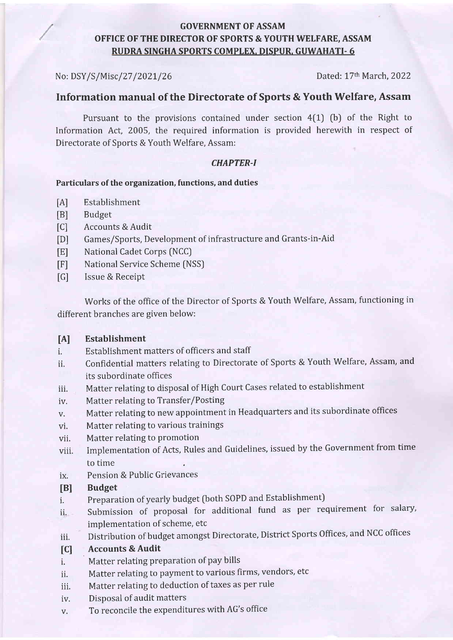### GOVERNMENT OF ASSAM OFFICE OF THE DIRECTOR OF SPORTS & YOUTH WELFARE, ASSAM RUDRA SINGHA SPORTS COMPIEX. DISPUR. GUWAHATI- 6

No: DSY/S /Miscl27 /202L/26 Dated: 17th March,2022

### Information manual of the Directorate of Sports & Youth Welfare, Assam

Pursuant to the provisions contained under section  $4(1)$  (b) of the Right to Information Act, 2005, the required information is provided herewith in respect of Directorate of Sports & Youth Welfare, Assam:

### CHAPTER-I

### Particulars of the organization, functions, and duties

- [A] Establishment
- [B] Budget
- [C] Accounts & Audit
- [D] Games/Sports, Development of infrastructure and Grants-in-Aid
- [E] National Cadet Corps (NCC)
- [F] National Service Scheme (NSS)
- [G] Issue & Receipt

Works of the office of the Director of Sports & Youth Welfare, Assam, functioning in different branches are given below:

### [A] Establishment

- i. Establishment matters of officers and staff
- ii. Confidential matters relating to Directorate of Sports & Youth Welfare, Assam, and its subordinate offices
- iii. Matter relating to disposal of High Court Cases related to establishment
- iv. Matter relating to Transfer/Posting
- v. Matter relating to new appointment in Headquarters and its subordinate offices
- vi. Matter relating to various trainings
- vii. Matter relating to promotion
- viii. Implementation of Acts, Rules and Guidelines, issued by the Government from time to time
- ix. Pension & Public Grievances

### [B] Budget

- i. Preparation of yearly budget (both SOPD and Establishment)
- ii. Submission of proposal for additional fund as per requirement for salary, implementation of scheme, etc
- iii. Distribution of budget amongst Directorate, District Sports Offices, and NCC offices

### [C] Accounts & Audit

- i. Matter relating preparation of pay bills
- ii. Matter relating to payment to various firms, vendors, etc
- iii. Matter relating to deduction of taxes as per rule
- iv. Disposal of audit matters
- v. To reconcile the expenditures with AG's office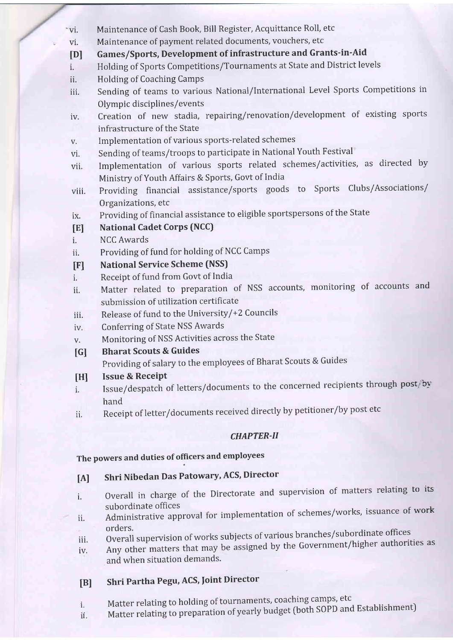- 'vi. Maintenance of Cash Book, Bill Register, Acquittance Roll, etc
- vi. Maintenance of payment related documents, vouchers, etc
- tDl Games/Sports, Development of infrastructure and Grants-in-Aid
- i. Holding of Sports Competitions/Tournaments at State and District levels
- ii. Holding of Coaching Camps
- iii. Sending of teams to various National/lnternational Level Sports Competitions in Olympic disciplines/events
- iv. Creation of new stadia, repairing/renovation/development of existing sports infrastructure of the State
- v. Implementation of various sports-related schemes
- vi. Sending of teams/troops to participate in National Youth Festival
- vii. Implementation of various sports related schemes/activities, as directed by Ministry of Youth Affairs & Sports, Govt of India
- viii. Providing financial assistance/sports goods to Sports Clubs/Associations/ Organizations, etc
- ix. Providing of financial assistance to eligible sportspersons of the State

#### IEI **National Cadet Corps (NCC)**

- i. NCC Awards
- ii. Providing of fund for holding of NCC Camps
- IF] National Service Scheme (NSS)
- l. Receipt of fund from Govt of India
- ii. Matter related to preparation of NSS accounts, monitoring of accounts and submission of utilization certificate
- iii. Release of fund to the University/+2 Councils
- iv. Conferring of State NSS Awards
- V. Monitoring of NSS Activities across the State
- $\lceil$  G $\rceil$ Bharat Scouts & Guides

Providing of salary to the employees of Bharat Scouts & Guides

- Issue & Receipt [H]
- Issue/despatch of letters/documents to the concerned recipients through post/by hand i.
- ii. Receipt of letter/documents received directly by petitioner/by post etc

### CHAPTER-II

### The powers and duties of officers and employees

#### IA] Shri Nibedan Das Patowary, ACS, Director

- i. Overall in charge of the Directorate and supervision of matters relating to its subordinate offices
- ii. Administrative approval for implementation of schemes/works, issuance of work
- iii. orders. Overall supervision of works subjects of various branches/subordinate offices
- iv. Any other matters that may be assigned by the Government/higher authorities as and when situation demands.

#### IB] Shri Partha Pegu, ACS, foint Director

- Matter relating to holding of tournaments, coaching camps, etc i.
- Matter relating to preparation of yearly budget (both SOPD and Establishment) ii.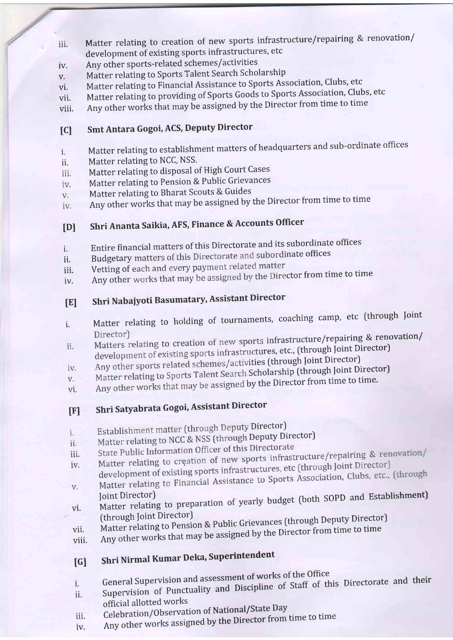- Matter relating to creation of new sports infrastructure/repairing & renovation/ iii. development of existing sports infrastructures, etc
- iv. Any other sports-related schemes/activities
- v. Matter relating to Sports Talent Search Scholarship
- vi. Matter relating to Financial Assistance to Sports Association, Clubs, etc
- vii. Matter relating to providing of Sports Goods to Sports Association, Clubs, etc
- viii. Any other works that may be assigned by the Director from time to time

# [C] Smt Antara Gogoi, ACS, Deputy Director

- Matter relating to establishment matters of headquarters and sub-ordinate offices  $i$ .
- Matter relating to NCC, NSS. ii.
- Matter relating to disposal of High Court Cases iii.
- Matter relating to Pension & Public Grievances iv.
- Matter relating to Bharat Scouts & Guides V.
- Any other works that may be assigned by the Director from time to time iv.

#### tDl Shri Ananta Saikia, AFS, Finance & Accounts Officer

- i. Entire financial matters of this Directorate and its subordinate offices
- ii. Budgetary matters of this Directorate and subordinate offices
- iii. Vetting of each and every payment related matter
- iv. Any other works that may be assigned by the Director from time to time

# IEI Shri Nabaiyoti Basumatary, Assistant Director

- i. Matter relating to holding of tournaments, coaching camp, etc (through Joint<br>Director)
- Matters relating to creation of new sports infrastructure/repairing & renovation/ ii. development of existing sports infrastructures, etc., (through Joint Director)
- Any other sports related schemes/activities (through Joint Director) iv.
- Matter relating to Sports Talent Search Scholarship (through Joint Director)  $\mathbf{V}$  .
- Any other works that may be assigned by the Director from time to time. vi.
- [F] Shri Satyabrata Gogoi, Assistant Director
- Establishment matter (through Deputy Director)
- i. Matter relating to NCC & NSS (through Deputy Director)<br>State Public Information Officer of this Directorate
- ii.
- State Public Information Officer of this Directorate<br>Matter relating to creation of new sports infrastructure/repairing & renovation/<br>Matter relating to creation of new sports infrastructures and loint Director) iii. Matter relating to creation of new sports infrastructure, etc.<br>development of existing sports infrastructures, etc (through Joint Director) iv.
- V.
- Matter relating to Financial Assistance to Sports Association, Clubs, etc., (through<br>Joint Director)<br>(through Joint Director) vl.
- Matter relating to Pension & Public Grievances (through Deputy Director)
- Any other works that may be assigned by the Director from time to time vii.
- viii.

# [G] Shri Nirmal Kumar Deka, Superintendent

- i. General Supervision and assessment of works of the Office<br>in the probability and Discipline of Staff of the United Staff of the United Staff of the United Staff of the U
- ii. Supervision of Punctuality and Discipline of Staff of this Directorate and their official allotted works
- iii. Celebration/Observation of National/State Day
- iv. Any other works assigned by the Director from time to time
-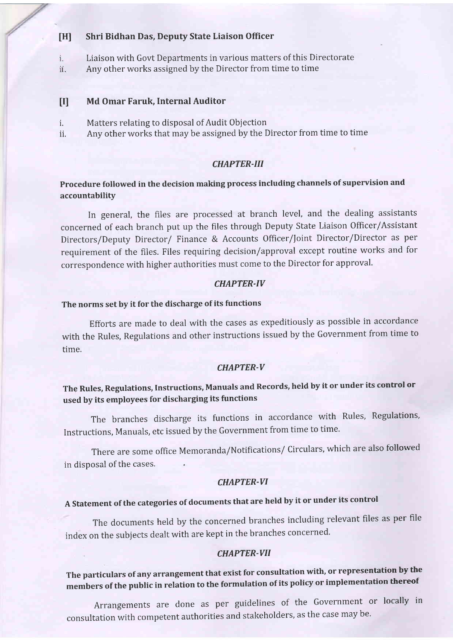#### [H] Shri Bidhan Das, Deputy State Liaison Officer

- Liaison with Govt Departments in various matters of this Directorate i.
- ii. Any other works assigned by the Director from time to time

#### Md Omar Faruk, Internal Auditor  $\mathbf{H}$

- Matters relating to disposal of Audit Objection i.
- Any other works that may be assigned by the Director from time to time ii.

#### CHAPTER-III

### Procedure followed in the decision making process including channels of supervision and accountability

In general, the files are processed at branch level, and the dealing assistants concerned of each branch put up the files through Deputy State Liaison Officer/Assistant Directors/Deputy Director/ Finance & Accounts Officer/foint Director/Director as per requirement of the files. Files requiring decision/approval except routine works and for correspondence with higher authorities must come to the Director for approval.

### CHAPTER.IV

### The norms set by it for the discharge of its functions

Efforts are made to deal with the cases as expeditiously as possible in accordance with the Rules, Regulations and other instructions issued by the Government from time to time.

#### CHAPTER-V

## The Rules, Regulations, Instructions, Manuals and Records, held by it or under its control or used by its employees for discharging its functions

The branches discharge its functions in accordance with Rules, Regulations, Instructions, Manuals, etc issued by the Government from time to time.

There are some office Memoranda/Notifications/ Circulars, which are also followed in disposal of the cases.

### CHAPTER-VI

# <sup>A</sup>Statement of the categories of documents that are held by it or under its control

The documents held by the concerned branches including relevant files as per file index on the subjects dealt with are kept in the branches concerned.

#### CHAPTER-VII

# The particulars of any arrangement that exist for consultation with, or representation by the members of the public in relation to the formulation of its policy or implementation thereof

Arrangements are done as per guidelines of the Government or locally in consultation with competent authorities and stakeholders, as the case may be'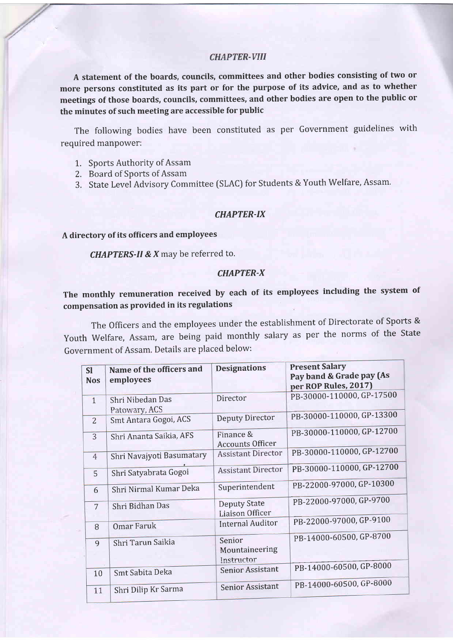### **CHAPTER-VIII**

A statement of the boards, councils, committees and other bodies consisting of two or more persons constituted as its part or for the purpose of its advice, and as to whether meetings of those boards, councils, committees, and other bodies are open to the public or the minutes of such meeting are accessible for public

The following bodies have been constituted as per Government guidelines with required manpower:

- 1,. Sports Authority of Assam
- 2. Board of Sports of Assam
- 3. State Level Advisory Committee (SLAC) for Students & Youth Welfare, Assam.

### CHAPTER-IX

#### A directory of its officers and employees

CHAPTERS-II & X may be referred to.

#### CHAPTER-X

## The monthly remuneration received by each of its employees including the system of compensation as provided in its regulations

The Officers and the employees under the establishment of Directorate of Sports & Youth Welfare, Assam, are being paid monthly salary as per the norms of the State Government of Assam. Details are placed below:

| <b>SI</b><br><b>Nos</b> | Name of the officers and<br>employees | <b>Designations</b>                           | <b>Present Salary</b><br>Pay band & Grade pay (As<br>per ROP Rules, 2017) |
|-------------------------|---------------------------------------|-----------------------------------------------|---------------------------------------------------------------------------|
| $\overline{1}$          | Shri Nibedan Das<br>Patowary, ACS     | Director                                      | PB-30000-110000, GP-17500                                                 |
| $\overline{2}$          | Smt Antara Gogoi, ACS                 | <b>Deputy Director</b>                        | PB-30000-110000, GP-13300                                                 |
| 3                       | Shri Ananta Saikia, AFS               | Finance &<br><b>Accounts Officer</b>          | PB-30000-110000, GP-12700                                                 |
| $\overline{4}$          | Shri Navajyoti Basumatary             | <b>Assistant Director</b>                     | PB-30000-110000, GP-12700                                                 |
| 5                       | Shri Satyabrata Gogoi                 | <b>Assistant Director</b>                     | PB-30000-110000, GP-12700                                                 |
| 6                       | Shri Nirmal Kumar Deka                | Superintendent                                | PB-22000-97000, GP-10300                                                  |
| 7                       | Shri Bidhan Das                       | <b>Deputy State</b><br><b>Liaison Officer</b> | PB-22000-97000, GP-9700                                                   |
| 8                       | Omar Faruk                            | <b>Internal Auditor</b>                       | PB-22000-97000, GP-9100                                                   |
| 9                       | Shri Tarun Saikia                     | Senior<br>Mountaineering<br>Instructor        | PB-14000-60500, GP-8700                                                   |
| 10                      | Smt Sabita Deka                       | <b>Senior Assistant</b>                       | PB-14000-60500, GP-8000                                                   |
| 11                      | Shri Dilip Kr Sarma                   | <b>Senior Assistant</b>                       | PB-14000-60500, GP-8000                                                   |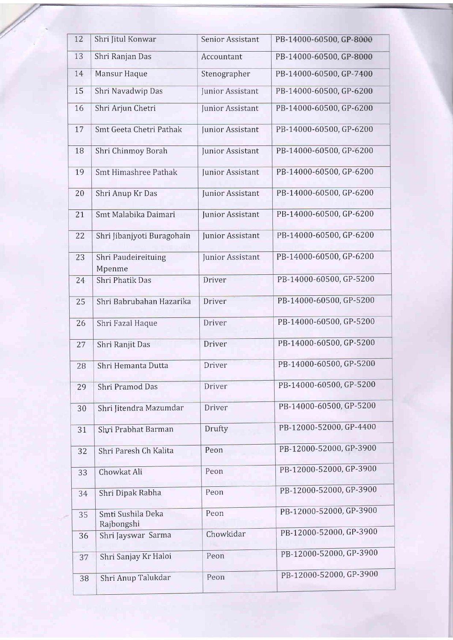| 12 | Shri Jitul Konwar               | Senior Assistant | PB-14000-60500, GP-8000 |
|----|---------------------------------|------------------|-------------------------|
| 13 | Shri Ranjan Das                 | Accountant       | PB-14000-60500, GP-8000 |
| 14 | Mansur Haque                    | Stenographer     | PB-14000-60500, GP-7400 |
| 15 | Shri Navadwip Das               | Junior Assistant | PB-14000-60500, GP-6200 |
| 16 | Shri Arjun Chetri               | Junior Assistant | PB-14000-60500, GP-6200 |
| 17 | Smt Geeta Chetri Pathak         | Junior Assistant | PB-14000-60500, GP-6200 |
| 18 | Shri Chinmoy Borah              | Junior Assistant | PB-14000-60500, GP-6200 |
| 19 | <b>Smt Himashree Pathak</b>     | Junior Assistant | PB-14000-60500, GP-6200 |
| 20 | Shri Anup Kr Das                | Junior Assistant | PB-14000-60500, GP-6200 |
| 21 | Smt Malabika Daimari            | Junior Assistant | PB-14000-60500, GP-6200 |
| 22 | Shri Jibanjyoti Buragohain      | Junior Assistant | PB-14000-60500, GP-6200 |
| 23 | Shri Paudeireituing<br>Mpenme   | Junior Assistant | PB-14000-60500, GP-6200 |
| 24 | <b>Shri Phatik Das</b>          | Driver           | PB-14000-60500, GP-5200 |
| 25 | Shri Babrubahan Hazarika        | Driver           | PB-14000-60500, GP-5200 |
| 26 | Shri Fazal Haque                | Driver           | PB-14000-60500, GP-5200 |
| 27 | Shri Ranjit Das                 | Driver           | PB-14000-60500, GP-5200 |
| 28 | Shri Hemanta Dutta              | Driver           | PB-14000-60500, GP-5200 |
| 29 | Shri Pramod Das                 | Driver           | PB-14000-60500, GP-5200 |
| 30 | Shri Jitendra Mazumdar          | Driver           | PB-14000-60500, GP-5200 |
| 31 | Shri Prabhat Barman             | Drufty           | PB-12000-52000, GP-4400 |
| 32 | Shri Paresh Ch Kalita           | Peon             | PB-12000-52000, GP-3900 |
| 33 | Chowkat Ali                     | Peon             | PB-12000-52000, GP-3900 |
| 34 | Shri Dipak Rabha                | Peon             | PB-12000-52000, GP-3900 |
| 35 | Smti Sushila Deka<br>Rajbongshi | Peon             | PB-12000-52000, GP-3900 |
| 36 | Shri Jayswar Sarma              | Chowkidar        | PB-12000-52000, GP-3900 |
| 37 | Shri Sanjay Kr Haloi            | Peon             | PB-12000-52000, GP-3900 |
| 38 | Shri Anup Talukdar              | Peon             | PB-12000-52000, GP-3900 |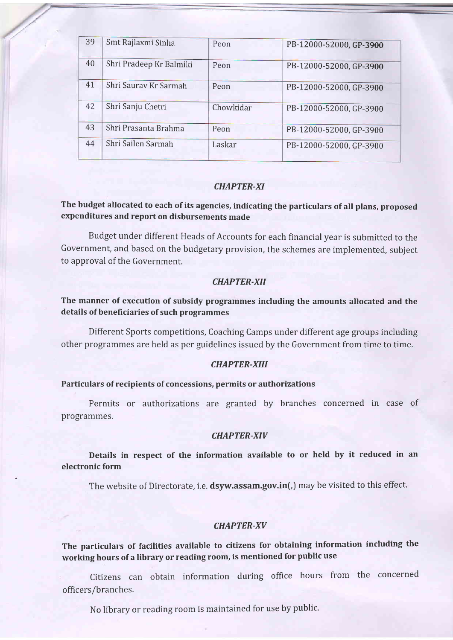| 39 | Smt Rajlaxmi Sinha      | Peon      | PB-12000-52000, GP-3900 |
|----|-------------------------|-----------|-------------------------|
| 40 | Shri Pradeep Kr Balmiki | Peon      | PB-12000-52000, GP-3900 |
| 41 | Shri Saurav Kr Sarmah   | Peon      | PB-12000-52000, GP-3900 |
| 42 | Shri Sanju Chetri       | Chowkidar | PB-12000-52000, GP-3900 |
| 43 | Shri Prasanta Brahma    | Peon      | PB-12000-52000, GP-3900 |
| 44 | Shri Sailen Sarmah      | Laskar    | PB-12000-52000, GP-3900 |

### CHAPTER-XI

### The budget allocated to each of its agencies, indicating the particulars of all plans, proposed expenditures and report on disbursements made

Budget under different Heads of Accounts for each financial year is submitted to the Government, and based on the budgetary provision, the schemes are implemented, subject to approval of the Government.

### CHAPTER.XII

### The manner of execution of subsidy programmes including the amounts allocated and the details of beneficiaries of such programmes

Different Sports competitions, Coaching Camps under different age groups including other programmes are held as per guidelines issued by the Government from time to time.

### CHAPTER-XIil

### Particulars of recipients of concessions, permits or authorizations

Permits or authorizations are granted by branches concerned in case of programmes.

### CHAPTER-XIV

Details in respect of the information available to or held by it reduced in an electronic form

The website of Directorate, i.e. dsyw.assam.gov.in(,) may be visited to this effect.

### CHAPTER-XV

The particulars of facilities available to citizens for obtaining information including the working hours of a library or reading room, is mentioned for public use

Citizens can obtain information during office hours from the concerned officers/branches.

No library or reading room is maintained for use by public'